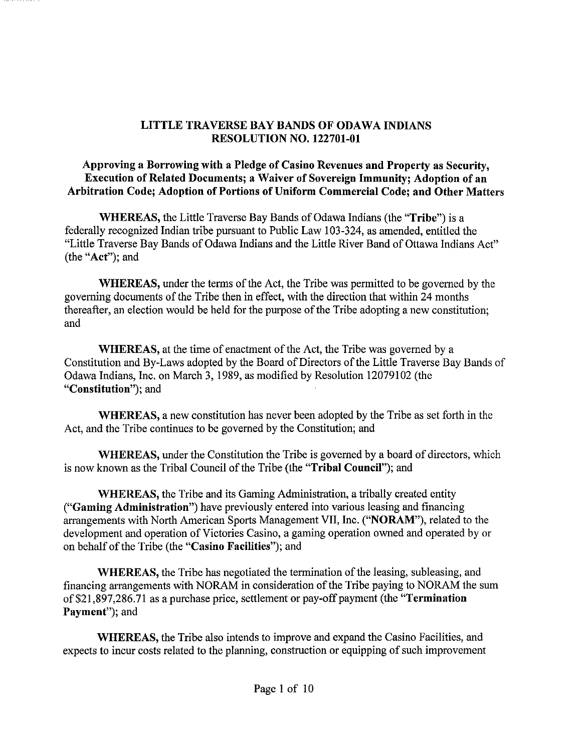## **LITTLE TRAVERSE BAY BANDS OF ODAWA INDIANS RESOLUTION NO. 122701-01**

**Approving a Borrowing with a Pledge of Casino Revenues and Property as Security, Execution of Related Documents; a Waiver of Sovereign Immunity; Adoption of an Arbitration Code; Adoption of Portions of Uniform Commercial Code; and Other Matters** 

**WHEREAS,** the Little Traverse Bay Bands of Odawa Indians (the **"Tribe")** is a federally recognized Indian tribe pursuant to Public Law 103-324, as amended, entitled the "Little Traverse Bay Bands of Odawa Indians and the Little River Band of Ottawa Indians Act" (the **"Act");** and

**WHEREAS,** under the terms of the Act, the Tribe was permitted to be governed by the governing documents of the Tribe then in effect, with the direction that within 24 months thereafter, an election would be held for the purpose of the Tribe adopting a new constitution; and

**WHEREAS,** at the time of enactment of the Act, the Tribe was governed by a Constitution and By-Laws adopted by the Board of Directors of the Little Traverse Bay Bands of Odawa Indians, Inc. on March 3, 1989, as modified by Resolution 12079102 (the **"Constitution");** and

**WHEREAS,** a new constitution has never been adopted by the Tribe as set forth in the Act, and the Tribe continues to be governed by the Constitution; and

**WHEREAS,** under the Constitution the Tribe is governed by a board of directors, which is now known as the Tribal Council of the Tribe (the **"Tribal Council");** and

**WHEREAS,** the Tribe and its Gaming Administration, a tribally created entity **("Gaming Administration")** have previously entered into various leasing and financing arrangements with North American Sports Management VII, Inc. **("NORAM"),** related to the development and operation of Victories Casino, a gaming operation owned and operated by or on behalf of the Tribe (the **"Casino Facilities");** and

**WHEREAS,** the Tribe has negotiated the termination of the leasing, subleasing, and financing arrangements with NORAM in consideration of the Tribe paying to NORAM the sum of \$21,897,286.71 as a purchase price, settlement or pay-off payment (the **"Termination**  Payment"); and

**WHEREAS,** the Tribe also intends to improve and expand the Casino Facilities, and expects to incur costs related to the planning, construction or equipping of such improvement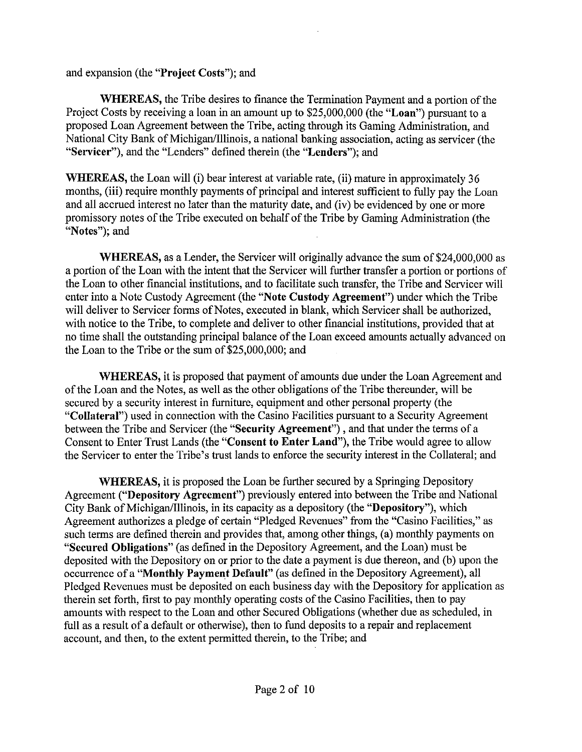and expansion (the "Project **Costs");** and

WHEREAS, the Tribe desires to finance the Termination Payment and a portion of the Project Costs by receiving a loan in an amount up to \$25,000,000 (the **"Loan")** pursuant to a proposed Loan Agreement between the Tribe, acting through its Gaming Administration, and National City Bank of Michigan/Illinois, a national banking association, acting as servicer (the "Servicer"), and the "Lenders" defined therein (the **"Lenders"); and** 

**WHEREAS, the Loan** will (i) bear interest at variable rate, (ii) mature in approximately 36 months, (iii) require monthly payments of principal and interest sufficient to fully pay the Loan and all accrued interest no later than the maturity date, and (iv) be evidenced by one or more promissory notes of the Tribe executed on behalf of the Tribe by Gaming Administration (the "Notes"); and

WHEREAS, as a Lender, the Servicer will originally advance the sum of \$24,000,000 as a portion of the Loan with the intent that the Servicer will further transfer a portion or portions of the Loan to other financial institutions, and to facilitate such transfer, the Tribe and Servicer will enter into a Note Custody Agreement (the **"Note Custody Agreement")** under which the Tribe will deliver to Servicer forms of Notes, executed in blank, which Servicer shall be authorized, with notice to the Tribe, to complete and deliver to other financial institutions, provided that at no time shall the outstanding principal balance of the Loan exceed amounts actually advanced on the Loan to the Tribe or the sum of \$25,000,000; and

WHEREAS, it is proposed that payment of amounts due under the Loan Agreement and of the Loan and the Notes, as well as the other obligations of the Tribe thereunder, will be secured by a security interest in furniture, equipment and other personal property (the **"Collateral")** used in connection with the Casino Facilities pursuant to a Security Agreement between the Tribe and Servicer (the **"Security Agreement") ,** and that under the terms of a Consent to Enter Trust Lands (the **"Consent to Enter Land"),** the Tribe would agree to allow the Servicer to enter the Tribe's trust lands to enforce the security interest in the Collateral; and

**WHEREAS,** it is proposed the Loan be further secured by a Springing Depository Agreement **("Depository Agreement")** previously entered into between the Tribe and National City Bank of Michigan/Illinois, in its capacity as a depository (the **"Depository"),** which Agreement authorizes a pledge of certain "Pledged Revenues" from the "Casino Facilities," as such terms are defined therein and provides that, among other things, (a) monthly payments on **"Secured Obligations"** (as defined in the Depository Agreement, and the Loan) must be deposited with the Depository on or prior to the date a payment is due thereon, and (b) upon the occurrence of a **"Monthly Payment Default"** (as defined in the Depository Agreement), all Pledged Revenues must be deposited on each business day with the Depository for application as therein set forth, first to pay monthly operating costs of the Casino Facilities, then to pay amounts with respect to the Loan and other Secured Obligations (whether due as scheduled, in full as a result of a default or otherwise), then to fund deposits to a repair and replacement account, and then, to the extent permitted therein, to the Tribe; and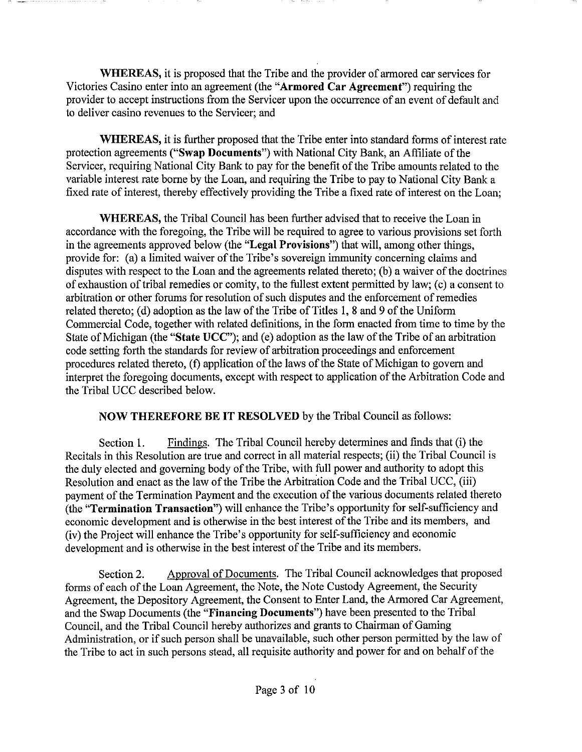**WHEREAS,** it is proposed that the Tribe and the provider of armored car services for Victories Casino enter into an agreement (the **"Armored Car Agreement")** requiring the provider to accept instructions from the Servicer upon the occurrence of an event of default and to deliver casino revenues to the Servicer; and

**WHEREAS,** it is further proposed that the Tribe enter into standard forms of interest rate protection agreements **("Swap Documents")** with National City Bank, an Affiliate of the Servicer, requiring National City Bank to pay for the benefit of the Tribe amounts related to the variable interest rate borne by the Loan, and requiring the Tribe to pay to National City Bank a fixed rate of interest, thereby effectively providing the Tribe a fixed rate of interest on the Loan;

**WHEREAS,** the Tribal Council has been further advised that to receive the Loan in accordance with the foregoing, the Tribe will be required to agree to various provisions set forth in the agreements approved below (the **"Legal Provisions")** that will, among other things, provide for: (a) a limited waiver of the Tribe's sovereign immunity concerning claims and disputes with respect to the Loan and the agreements related thereto; (b) a waiver of the doctrines of exhaustion of tribal remedies or comity, to the fullest extent permitted by law; (c) a consent to arbitration or other forums for resolution of such disputes and the enforcement of remedies related thereto; (d) adoption as the law of the Tribe of Titles **1,** 8 and 9 of the Uniform Commercial Code, together with related definitions, in the form enacted from time to time by the State of Michigan (the **"State UCC");** and (e) adoption as the law of the Tribe of an arbitration code setting forth the standards for review of arbitration proceedings and enforcement procedures related thereto, (f) application of the laws of the State of Michigan to govern and interpret the foregoing documents, except with respect to application of the Arbitration Code and the Tribal UCC described below.

## **NOW THEREFORE BE IT RESOLVED** by the Tribal Council as follows:

Section **1.** Findings. The Tribal Council hereby determines and finds that (i) the Recitals in this Resolution are true and correct in all material respects; (ii) the Tribal Council is the duly elected and governing body of the Tribe, with full power and authority to adopt this Resolution and enact as the law of the Tribe the Arbitration Code and the Tribal UCC, (iii) payment of the Termination Payment and the execution of the various documents related thereto (the **"Termination Transaction")** will enhance the Tribe's opportunity for self-sufficiency and economic development and is otherwise in the best interest of the Tribe and its members, and (iv) the Project will enhance the Tribe's opportunity for self-sufficiency and economic development and is otherwise in the best interest of the Tribe and its members.

Section 2. Approval of Documents. The Tribal Council acknowledges that proposed forms of each of the Loan Agreement, the Note, the Note Custody Agreement, the Security Agreement, the Depository Agreement, the Consent to Enter Land, the Armored Car Agreement, and the Swap Documents (the **"Financing Documents")** have been presented to the Tribal Council, and the Tribal Council hereby authorizes and grants to Chairman of Gaming Administration, or if such person shall be unavailable, such other person permitted by the law of the Tribe to act in such persons stead, all requisite authority and power for and on behalf of the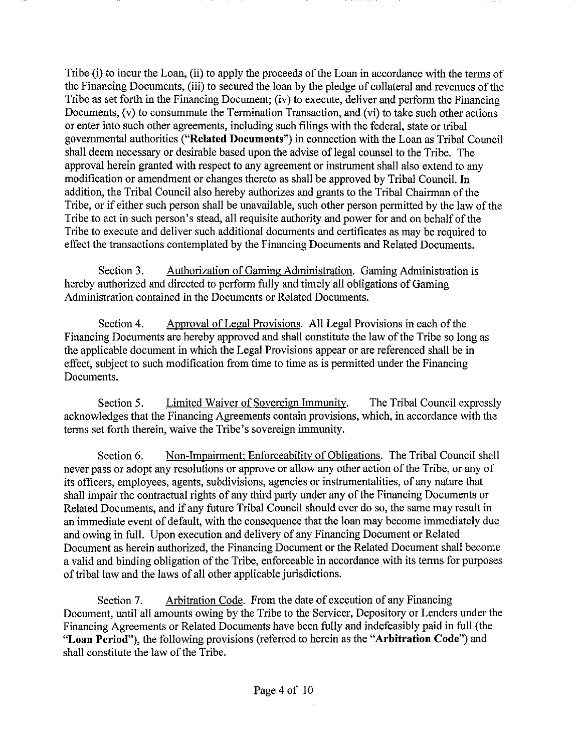Tribe (i) to incur the Loan, (ii) to apply the proceeds of the Loan in accordance with the terms of the Financing Documents, (iii) to secured the loan by the pledge of collateral and revenues of the Tribe as set forth in the Financing Document; (iv) to execute, deliver and perform the Financing Documents, (v) to consummate the Termination Transaction, and (vi) to take such other actions or enter into such other agreements, including such filings with the federal, state or tribal governmental authorities **("Related Documents")** in connection with the Loan as Tribal Council shall deem necessary or desirable based upon the advise of legal counsel to the Tribe. The approval herein granted with respect to any agreement or instrument shall also extend to any modification or amendment or changes thereto as shall be approved by Tribal Council. In addition, the Tribal Council also hereby authorizes and grants to the Tribal Chairman of the Tribe, or if either such person shall be unavailable, such other person permitted by the law of the Tribe to act in such person's stead, all requisite authority and power for and on behalf of the Tribe to execute and deliver such additional documents and certificates as may be required to effect the transactions contemplated by the Financing Documents and Related Documents.

Section 3. Authorization of Gaming Administration. Gaming Administration is hereby authorized and directed to perform fully and timely all obligations of Gaming Administration contained in the Documents or Related Documents.

Section 4. Approval of Legal Provisions. All Legal Provisions in each of the Financing Documents are hereby approved and shall constitute the law of the Tribe so long as the applicable document in which the Legal Provisions appear or are referenced shall be in effect, subject to such modification from time to time as is permitted under the Financing Documents.

Section 5. Limited Waiver of Sovereign Immunity. The Tribal Council expressly acknowledges that the Financing Agreements contain provisions, which, in accordance with the terms set forth therein, waive the Tribe's sovereign immunity.

Section 6. Non-Impairment; Enforceability of Obligations. The Tribal Council shall never pass or adopt any resolutions or approve or allow any other action of the Tribe, or any of its officers, employees, agents, subdivisions, agencies or instrumentalities, of any nature that shall impair the contractual rights of any third party under any of the Financing Documents or Related Documents, and if any future Tribal Council should ever do so, the same may result in an immediate event of default, with the consequence that the loan may become immediately due and owing in full. Upon execution and delivery of any Financing Document or Related Document as herein authorized, the Financing Document or the Related Document shall become a valid and binding obligation of the Tribe, enforceable in accordance with its terms for purposes of tribal law and the laws of all other applicable jurisdictions.

Section 7. Arbitration Code. From the date of execution of any Financing Document, until all amounts owing by the Tribe to the Servicer, Depository or Lenders under the Financing Agreements or Related Documents have been fully and indefeasibly paid in full (the **"Loan Period"),** the following provisions (referred to herein as the **"Arbitration Code")** and shall constitute the law of the Tribe.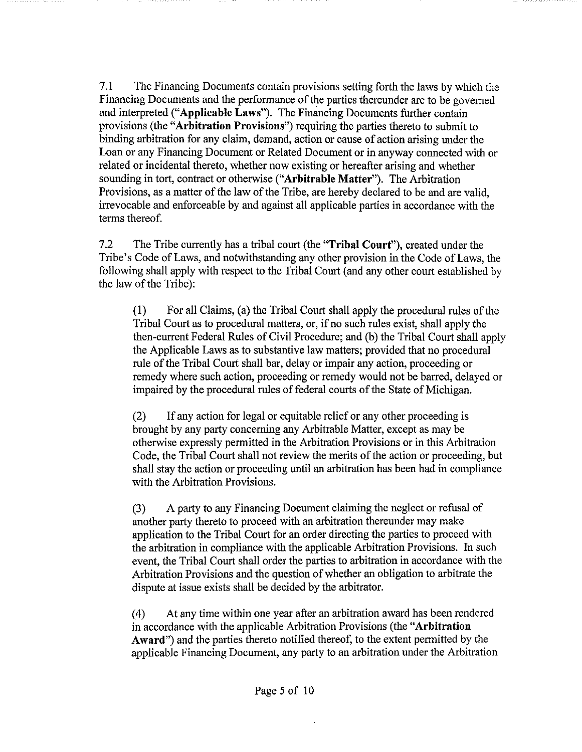7.1 The Financing Documents contain provisions setting forth the laws by which the Financing Documents and the performance of the parties thereunder are to be governed and interpreted **("Applicable Laws").** The Financing Documents further contain provisions (the **"Arbitration Provisions")** requiring the parties thereto to submit to binding arbitration for any claim, demand, action or cause of action arising under the Loan or any Financing Document or Related Document or in anyway connected with or related or incidental thereto, whether now existing or hereafter arising and whether sounding in tort, contract or otherwise **("Arbitrable Matter").** The Arbitration Provisions, as a matter of the law of the Tribe, are hereby declared to be and are valid, irrevocable and enforceable by and against all applicable parties in accordance with the terms thereof.

7.2 The Tribe currently has a tribal court (the **"Tribal Court"),** created under the Tribe's Code of Laws, and notwithstanding any other provision in the Code of Laws, the following shall apply with respect to the Tribal Court (and any other court established by the law of the Tribe):

(1) For all Claims, (a) the Tribal Court shall apply the procedural rules of the Tribal Court as to procedural matters, or, if no such rules exist, shall apply the then-current Federal Rules of Civil Procedure; and (b) the Tribal Court shall apply the Applicable Laws as to substantive law matters; provided that no procedural rule of the Tribal Court shall bar, delay or impair any action, proceeding or remedy where such action, proceeding or remedy would not be barred, delayed or impaired by the procedural rules of federal courts of the State of Michigan.

(2) If any action for legal or equitable relief or any other proceeding is brought by any party concerning any Arbitrable Matter, except as may be otherwise expressly permitted in the Arbitration Provisions or in this Arbitration Code, the Tribal Court shall not review the merits of the action or proceeding, but shall stay the action or proceeding until an arbitration has been had in compliance with the Arbitration Provisions.

(3) A party to any Financing Document claiming the neglect or refusal of another party thereto to proceed with an arbitration thereunder may make application to the Tribal Court for an order directing the parties to proceed with the arbitration in compliance with the applicable Arbitration Provisions. In such event, the Tribal Court shall order the parties to arbitration in accordance with the Arbitration Provisions and the question of whether an obligation to arbitrate the dispute at issue exists shall be decided by the arbitrator.

(4) At any time within one year after an arbitration award has been rendered in accordance with the applicable Arbitration Provisions (the **"Arbitration Award")** and the parties thereto notified thereof, to the extent permitted by the applicable Financing Document, any party to an arbitration under the Arbitration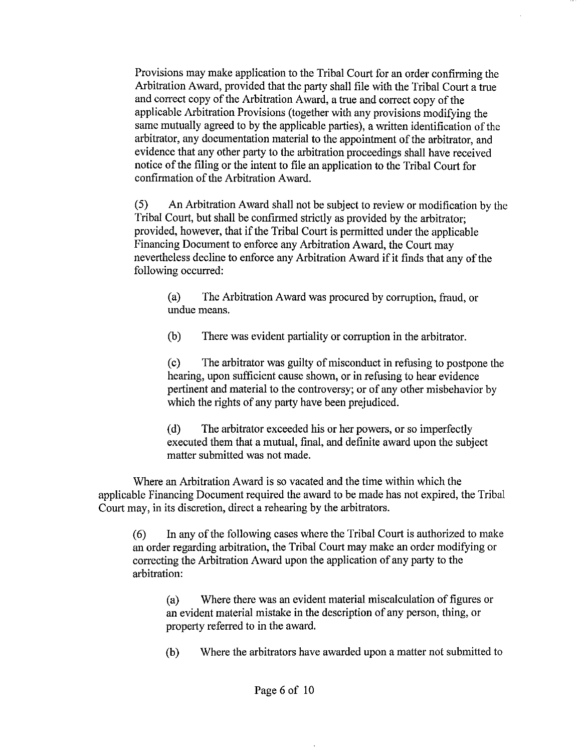Provisions may make application to the Tribal Court for an order confirming the Arbitration Award, provided that the party shall file with the Tribal Court a true and correct copy of the Arbitration Award, a true and correct copy of the applicable Arbitration Provisions (together with any provisions modifying the same mutually agreed to by the applicable parties), a written identification of the arbitrator, any documentation material to the appointment of the arbitrator, and evidence that any other party to the arbitration proceedings shall have received notice of the filing or the intent to file an application to the Tribal Court for confirmation of the Arbitration Award.

(5) An Arbitration Award shall not be subject to review or modification by the Tribal Court, but shall be confirmed strictly as provided by the arbitrator; provided, however, that if the Tribal Court is permitted under the applicable Financing Document to enforce any Arbitration Award, the Court may nevertheless decline to enforce any Arbitration Award if it finds that any of the following occurred:

(a) The Arbitration Award was procured by corruption, fraud, or undue means.

(b) There was evident partiality or corruption in the arbitrator.

(c) The arbitrator was guilty of misconduct in refusing to postpone the hearing, upon sufficient cause shown, or in refusing to hear evidence pertinent and material to the controversy; or of any other misbehavior by which the rights of any party have been prejudiced.

(d) The arbitrator exceeded his or her powers, or so imperfectly executed them that a mutual, final, and definite award upon the subject matter submitted was not made.

Where an Arbitration Award is so vacated and the time within which the applicable Financing Document required the award to be made has not expired, the Tribal Court may, in its discretion, direct a rehearing by the arbitrators.

(6) In any of the following cases where the Tribal Court is authorized to make an order regarding arbitration, the Tribal Court may make an order modifying or correcting the Arbitration Award upon the application of any party to the arbitration:

(a) Where there was an evident material miscalculation of figures or an evident material mistake in the description of any person, thing, or property referred to in the award.

(b) Where the arbitrators have awarded upon a matter not submitted to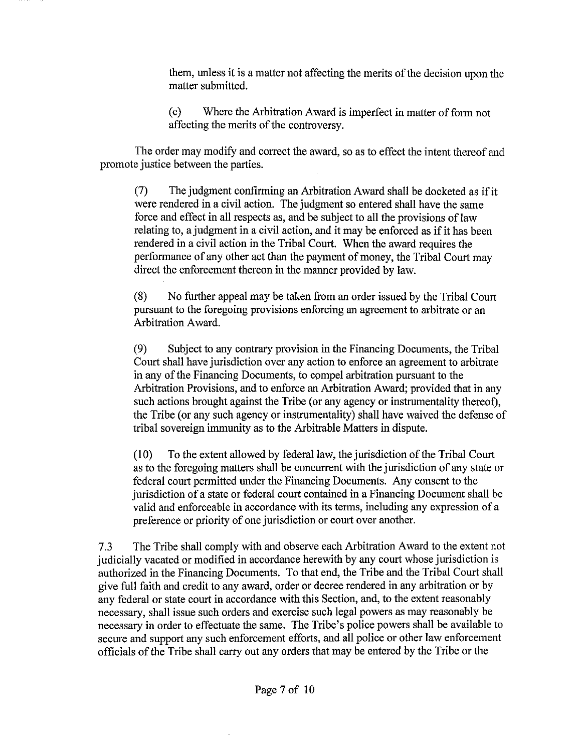them, unless it is a matter not affecting the merits of the decision upon the matter submitted.

(c) Where the Arbitration Award is imperfect in matter of form not affecting the merits of the controversy.

The order may modify and correct the award, so as to effect the intent thereof and promote justice between the parties.

(7) The judgment confirming an Arbitration Award shall be docketed as if it were rendered in a civil action. The judgment so entered shall have the same force and effect in all respects as, and be subject to all the provisions of law relating to, a judgment in a civil action, and it may be enforced as if it has been rendered in a civil action in the Tribal Court. When the award requires the performance of any other act than the payment of money, the Tribal Court may direct the enforcement thereon in the manner provided by law.

(8) No further appeal may be taken from an order issued by the Tribal Court pursuant to the foregoing provisions enforcing an agreement to arbitrate or an Arbitration Award.

(9) Subject to any contrary provision in the Financing Documents, the Tribal Court shall have jurisdiction over any action to enforce an agreement to arbitrate in any of the Financing Documents, to compel arbitration pursuant to the Arbitration Provisions, and to enforce an Arbitration Award; provided that in any such actions brought against the Tribe (or any agency or instrumentality thereof), the Tribe (or any such agency or instrumentality) shall have waived the defense of tribal sovereign immunity as to the Arbitrable Matters in dispute.

(10) To the extent allowed by federal law, the jurisdiction of the Tribal Court as to the foregoing matters shall be concurrent with the jurisdiction of any state or federal court permitted under the Financing Documents. Any consent to the jurisdiction of a state or federal court contained in a Financing Document shall be valid and enforceable in accordance with its terms, including any expression of a preference or priority of one jurisdiction or court over another.

7.3 The Tribe shall comply with and observe each Arbitration Award to the extent not judicially vacated or modified in accordance herewith by any court whose jurisdiction is authorized in the Financing Documents. To that end, the Tribe and the Tribal Court shall give full faith and credit to any award, order or decree rendered in any arbitration or by any federal or state court in accordance with this Section, and, to the extent reasonably necessary, shall issue such orders and exercise such legal powers as may reasonably be necessary in order to effectuate the same. The Tribe's police powers shall be available to secure and support any such enforcement efforts, and all police or other law enforcement officials of the Tribe shall carry out any orders that may be entered by the Tribe or the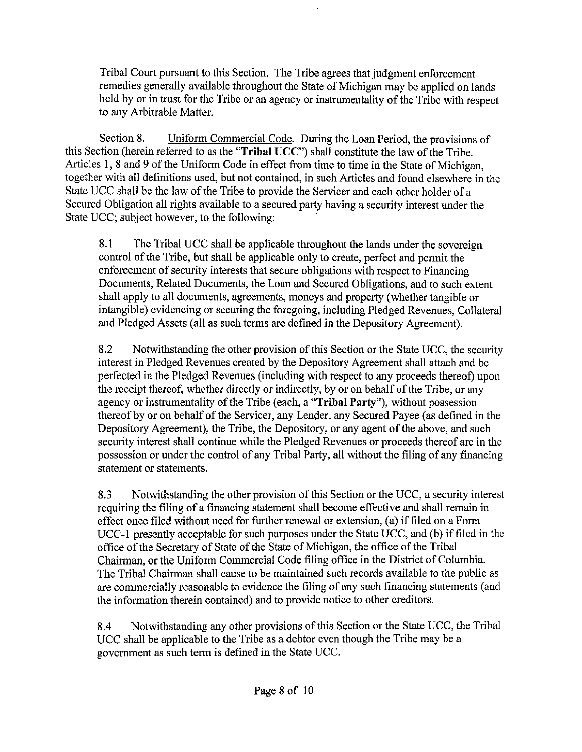Tribal Court pursuant to this Section. The Tribe agrees that judgment enforcement remedies generally available throughout the State of Michigan may be applied on lands held by or in trust for the Tribe or an agency or instrumentality of the Tribe with respect to any Arbitrable Matter.

Section 8. Uniform Commercial Code. During the Loan Period, the provisions of this Section (herein referred to as the **"Tribal UCC")** shall constitute the law of the Tribe. Articles 1, 8 and 9 of the Uniform Code in effect from time to time in the State of Michigan, together with all definitions used, but not contained, in such Articles and found elsewhere in the State UCC shall be the law of the Tribe to provide the Servicer and each other holder of a Secured Obligation all rights available to a secured party having a security interest under the State UCC; subject however, to the following:

8.1 The Tribal UCC shall be applicable throughout the lands under the sovereign control of the Tribe, but shall be applicable only to create, perfect and permit the enforcement of security interests that secure obligations with respect to Financing Documents, Related Documents, the Loan and Secured Obligations, and to such extent shall apply to all documents, agreements, moneys and property (whether tangible or intangible) evidencing or securing the foregoing, including Pledged Revenues, Collateral and Pledged Assets (all as such terms are defined in the Depository Agreement).

8.2 Notwithstanding the other provision of this Section or the State UCC, the security interest in Pledged Revenues created by the Depository Agreement shall attach and be perfected in the Pledged Revenues (including with respect to any proceeds thereof) upon the receipt thereof, whether directly or indirectly, by or on behalf of the Tribe, or any agency or instrumentality of the Tribe (each, a **"Tribal Party"),** without possession thereof by or on behalf of the Servicer, any Lender, any Secured Payee (as defined in the Depository Agreement), the Tribe, the Depository, or any agent of the above, and such security interest shall continue while the Pledged Revenues or proceeds thereof are in the possession or under the control of any Tribal Party, all without the filing of any financing statement or statements.

8.3 Notwithstanding the other provision of this Section or the UCC, a security interest requiring the filing of a financing statement shall become effective and shall remain in effect once filed without need for further renewal or extension, (a) if filed on a Form UCC-1 presently acceptable for such purposes under the State UCC, and (b) if filed in the office of the Secretary of State of the State of Michigan, the office of the Tribal Chairman, or the Uniform Commercial Code filing office in the District of Columbia. The Tribal Chairman shall cause to be maintained such records available to the public as are commercially reasonable to evidence the filing of any such financing statements (and the information therein contained) and to provide notice to other creditors.

8.4 Notwithstanding any other provisions of this Section or the State UCC, the Tribal UCC shall be applicable to the Tribe as a debtor even though the Tribe may be a government as such term is defined in the State UCC.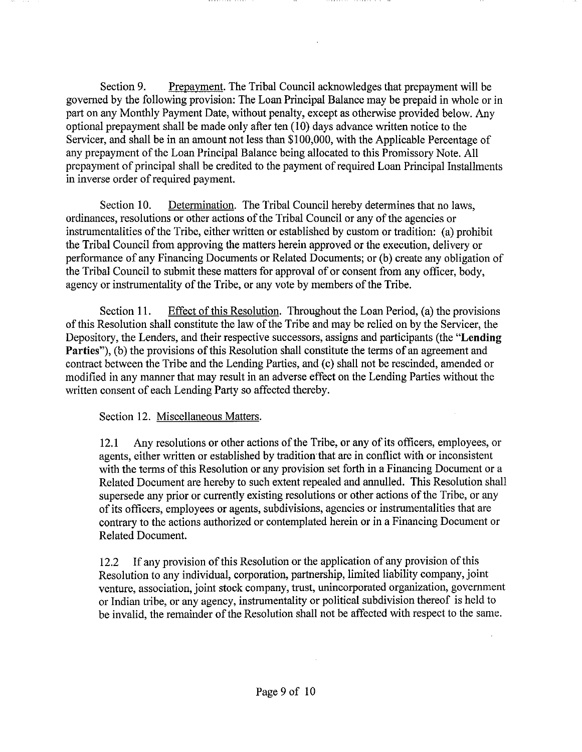Section 9. Prepayment. The Tribal Council acknowledges that prepayment will be governed by the following provision: The Loan Principal Balance may be prepaid in whole or in part on any Monthly Payment Date, without penalty, except as otherwise provided below. Any optional prepayment shall be made only after ten (10) days advance written notice to the Servicer, and shall be in an amount not less than \$100,000, with the Applicable Percentage of any prepayment of the Loan Principal Balance being allocated to this Promissory Note. All prepayment of principal shall be credited to the payment of required Loan Principal Installments in inverse order of required payment.

Section 10. Determination. The Tribal Council hereby determines that no laws, ordinances, resolutions or other actions of the Tribal Council or any of the agencies or instrumentalities of the Tribe, either written or established by custom or tradition: (a) prohibit the Tribal Council from approving the matters herein approved or the execution, delivery or performance of any Financing Documents or Related Documents; or (b) create any obligation of the Tribal Council to submit these matters for approval of or consent from any officer, body, agency or instrumentality of the Tribe, or any vote by members of the Tribe.

Section 11. Effect of this Resolution. Throughout the Loan Period, (a) the provisions of this Resolution shall constitute the law of the Tribe and may be relied on by the Servicer, the Depository, the Lenders, and their respective successors, assigns and participants (the **"Lending Parties"), (b) the provisions of this Resolution shall constitute the terms of an agreement and** contract between the Tribe and the Lending Parties, and (c) shall not be rescinded, amended or modified in any manner that may result in an adverse effect on the Lending Parties without the written consent of each Lending Party so affected thereby.

## Section 12. Miscellaneous Matters.

12.1 Any resolutions or other actions of the Tribe, or any of its officers, employees, or agents, either written or established by tradition that are in conflict with or inconsistent with the terms of this Resolution or any provision set forth in a Financing Document or a Related Document are hereby to such extent repealed and annulled. This Resolution shall supersede any prior or currently existing resolutions or other actions of the Tribe, or any of its officers, employees or agents, subdivisions, agencies or instrumentalities that are contrary to the actions authorized or contemplated herein or in a Financing Document or Related Document.

12.2 If any provision of this Resolution or the application of any provision of this Resolution to any individual, corporation, partnership, limited liability company, joint venture, association, joint stock company, trust, unincorporated organization, government or Indian tribe, or any agency, instrumentality or political subdivision thereof is held to be invalid, the remainder of the Resolution shall not be affected with respect to the same.